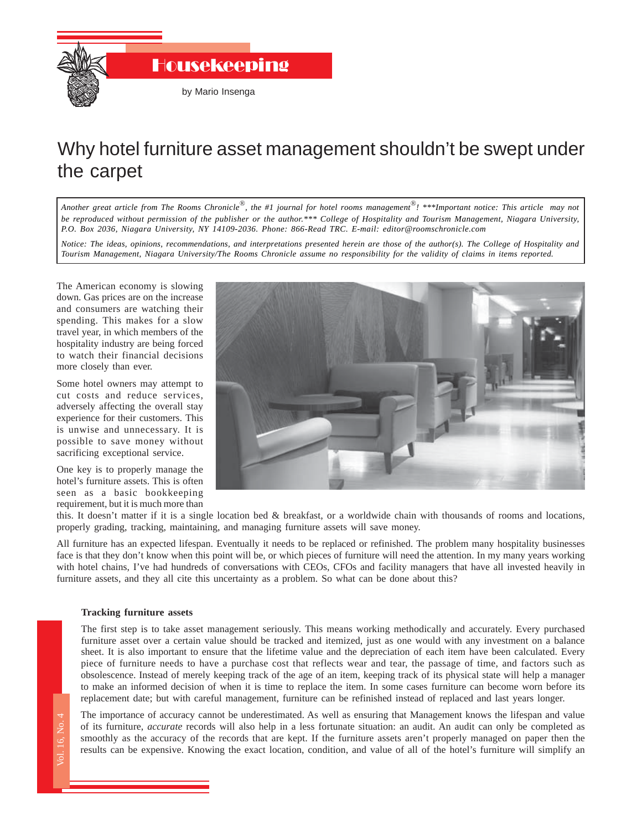

## Why hotel furniture asset management shouldn't be swept under the carpet

*Another great article from The Rooms Chronicle*®*, the #1 journal for hotel rooms management*®*! \*\*\*Important notice: This article may not be reproduced without permission of the publisher or the author.\*\*\* College of Hospitality and Tourism Management, Niagara University, P.O. Box 2036, Niagara University, NY 14109-2036. Phone: 866-Read TRC. E-mail: editor@roomschronicle.com*

*Notice: The ideas, opinions, recommendations, and interpretations presented herein are those of the author(s). The College of Hospitality and Tourism Management, Niagara University/The Rooms Chronicle assume no responsibility for the validity of claims in items reported.*

The American economy is slowing down. Gas prices are on the increase and consumers are watching their spending. This makes for a slow travel year, in which members of the hospitality industry are being forced to watch their financial decisions more closely than ever.

Some hotel owners may attempt to cut costs and reduce services, adversely affecting the overall stay experience for their customers. This is unwise and unnecessary. It is possible to save money without sacrificing exceptional service.

One key is to properly manage the hotel's furniture assets. This is often seen as a basic bookkeeping requirement, but it is much more than



this. It doesn't matter if it is a single location bed & breakfast, or a worldwide chain with thousands of rooms and locations, properly grading, tracking, maintaining, and managing furniture assets will save money.

All furniture has an expected lifespan. Eventually it needs to be replaced or refinished. The problem many hospitality businesses face is that they don't know when this point will be, or which pieces of furniture will need the attention. In my many years working with hotel chains, I've had hundreds of conversations with CEOs, CFOs and facility managers that have all invested heavily in furniture assets, and they all cite this uncertainty as a problem. So what can be done about this?

## **Tracking furniture assets**

sho<br>picob<br>to<br>rep<br>The Sm<br>res The first step is to take asset management seriously. This means working methodically and accurately. Every purchased furniture asset over a certain value should be tracked and itemized, just as one would with any investment on a balance sheet. It is also important to ensure that the lifetime value and the depreciation of each item have been calculated. Every piece of furniture needs to have a purchase cost that reflects wear and tear, the passage of time, and factors such as obsolescence. Instead of merely keeping track of the age of an item, keeping track of its physical state will help a manager to make an informed decision of when it is time to replace the item. In some cases furniture can become worn before its replacement date; but with careful management, furniture can be refinished instead of replaced and last years longer.

The importance of accuracy cannot be underestimated. As well as ensuring that Management knows the lifespan and value of its furniture, *accurate* records will also help in a less fortunate situation: an audit. An audit can only be completed as smoothly as the accuracy of the records that are kept. If the furniture assets aren't properly managed on paper then the results can be expensive. Knowing the exact location, condition, and value of all of the hotel's furniture will simplify an

Vol. 16, No. 4